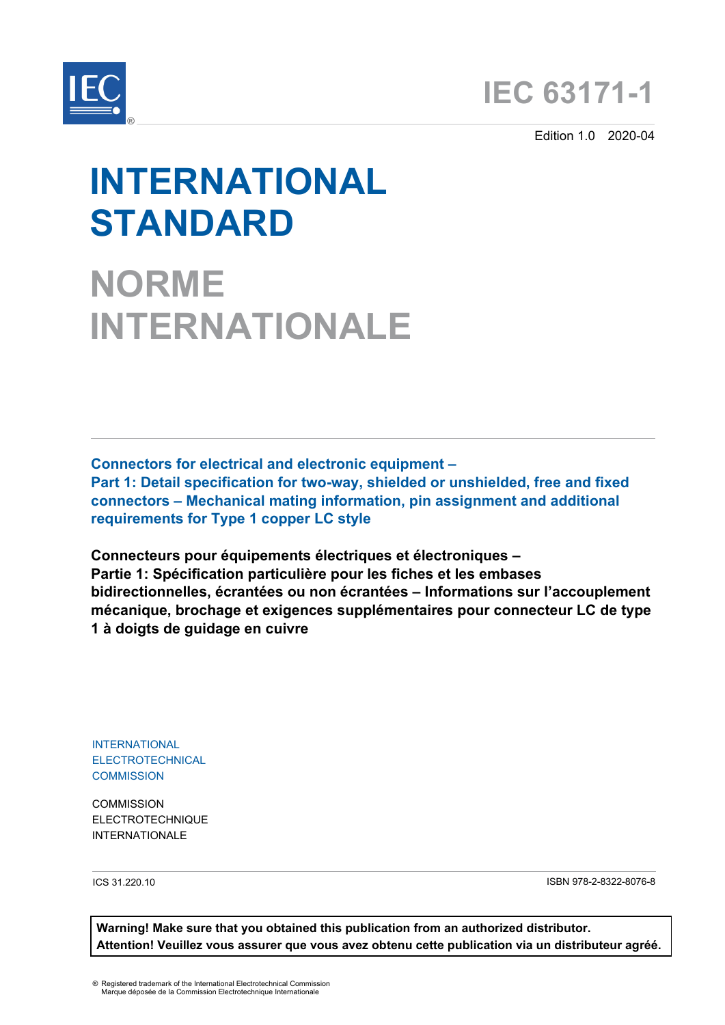

Edition 1.0 2020-04

# **INTERNATIONAL STANDARD**

**NORME INTERNATIONALE**

**Connectors for electrical and electronic equipment – Part 1: Detail specification for two-way, shielded or unshielded, free and fixed connectors – Mechanical mating information, pin assignment and additional requirements for Type 1 copper LC style** 

**Connecteurs pour équipements électriques et électroniques – Partie 1: Spécification particulière pour les fiches et les embases bidirectionnelles, écrantées ou non écrantées – Informations sur l'accouplement mécanique, brochage et exigences supplémentaires pour connecteur LC de type 1 à doigts de guidage en cuivre**

INTERNATIONAL ELECTROTECHNICAL **COMMISSION** 

**COMMISSION** ELECTROTECHNIQUE INTERNATIONALE

ICS 31.220.10

ISBN 978-2-8322-8076-8

**Warning! Make sure that you obtained this publication from an authorized distributor. Attention! Veuillez vous assurer que vous avez obtenu cette publication via un distributeur agréé.**

® Registered trademark of the International Electrotechnical Commission Marque déposée de la Commission Electrotechnique Internationale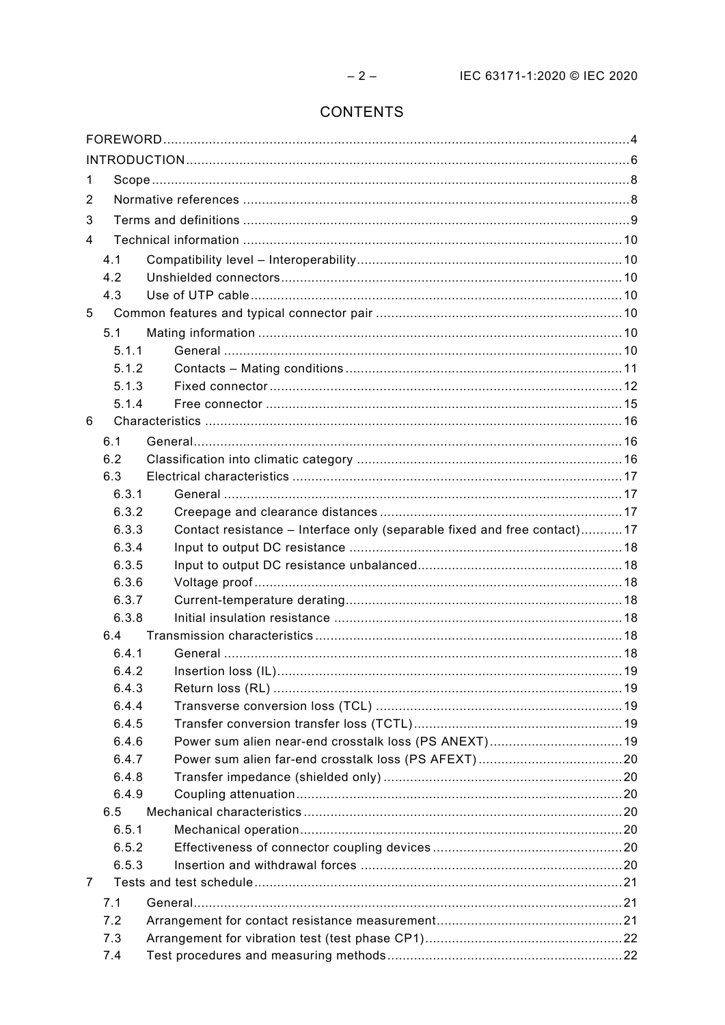# CONTENTS

| 1              |       |                                                                          |  |  |  |
|----------------|-------|--------------------------------------------------------------------------|--|--|--|
| $\overline{2}$ |       |                                                                          |  |  |  |
| 3              |       |                                                                          |  |  |  |
| 4              |       |                                                                          |  |  |  |
|                | 4.1   |                                                                          |  |  |  |
|                | 4.2   |                                                                          |  |  |  |
|                | 4.3   |                                                                          |  |  |  |
| 5              |       |                                                                          |  |  |  |
|                | 5.1   |                                                                          |  |  |  |
|                | 5.1.1 |                                                                          |  |  |  |
|                | 5.1.2 |                                                                          |  |  |  |
|                | 5.1.3 |                                                                          |  |  |  |
|                | 5.1.4 |                                                                          |  |  |  |
| 6              |       |                                                                          |  |  |  |
|                | 6.1   |                                                                          |  |  |  |
|                | 6.2   |                                                                          |  |  |  |
|                | 6.3   |                                                                          |  |  |  |
|                | 6.3.1 |                                                                          |  |  |  |
|                | 6.3.2 |                                                                          |  |  |  |
|                | 6.3.3 | Contact resistance - Interface only (separable fixed and free contact)17 |  |  |  |
|                | 6.3.4 |                                                                          |  |  |  |
|                | 6.3.5 |                                                                          |  |  |  |
|                | 6.3.6 |                                                                          |  |  |  |
|                | 6.3.7 |                                                                          |  |  |  |
|                | 6.3.8 |                                                                          |  |  |  |
|                | 6.4   |                                                                          |  |  |  |
|                | 641   |                                                                          |  |  |  |
|                | 6.4.2 |                                                                          |  |  |  |
|                | 6.4.3 |                                                                          |  |  |  |
|                | 6.4.4 |                                                                          |  |  |  |
|                | 6.4.5 |                                                                          |  |  |  |
|                | 6.4.6 |                                                                          |  |  |  |
|                | 6.4.7 |                                                                          |  |  |  |
|                | 6.4.8 |                                                                          |  |  |  |
|                | 6.4.9 |                                                                          |  |  |  |
|                | 6.5   |                                                                          |  |  |  |
|                | 6.5.1 |                                                                          |  |  |  |
|                | 6.5.2 |                                                                          |  |  |  |
|                | 6.5.3 |                                                                          |  |  |  |
| 7              |       |                                                                          |  |  |  |
|                | 7.1   |                                                                          |  |  |  |
|                | 7.2   |                                                                          |  |  |  |
|                | 7.3   |                                                                          |  |  |  |
|                | 7.4   |                                                                          |  |  |  |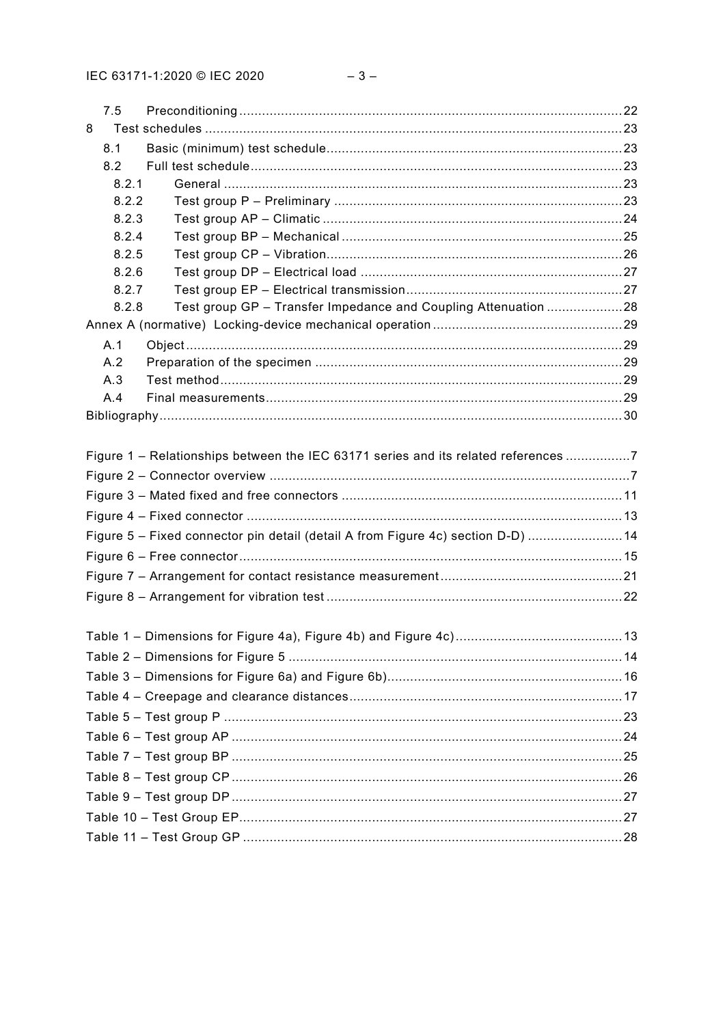| 7.5                                                                                |  |  |  |
|------------------------------------------------------------------------------------|--|--|--|
| 8                                                                                  |  |  |  |
| 8.1                                                                                |  |  |  |
| 8.2                                                                                |  |  |  |
| 8.2.1                                                                              |  |  |  |
| 8.2.2                                                                              |  |  |  |
| 8.2.3                                                                              |  |  |  |
| 8.2.4                                                                              |  |  |  |
| 8.2.5                                                                              |  |  |  |
| 8.2.6                                                                              |  |  |  |
| 8.2.7                                                                              |  |  |  |
| 8.2.8<br>Test group GP - Transfer Impedance and Coupling Attenuation 28            |  |  |  |
|                                                                                    |  |  |  |
| A.1                                                                                |  |  |  |
| A.2                                                                                |  |  |  |
| A.3                                                                                |  |  |  |
| A.4                                                                                |  |  |  |
|                                                                                    |  |  |  |
|                                                                                    |  |  |  |
| Figure 1 - Relationships between the IEC 63171 series and its related references 7 |  |  |  |
|                                                                                    |  |  |  |
|                                                                                    |  |  |  |
|                                                                                    |  |  |  |
|                                                                                    |  |  |  |
| Figure 5 - Fixed connector pin detail (detail A from Figure 4c) section D-D)  14   |  |  |  |
|                                                                                    |  |  |  |
|                                                                                    |  |  |  |
|                                                                                    |  |  |  |
|                                                                                    |  |  |  |
|                                                                                    |  |  |  |
|                                                                                    |  |  |  |
|                                                                                    |  |  |  |
|                                                                                    |  |  |  |
|                                                                                    |  |  |  |
|                                                                                    |  |  |  |
|                                                                                    |  |  |  |
|                                                                                    |  |  |  |
|                                                                                    |  |  |  |
|                                                                                    |  |  |  |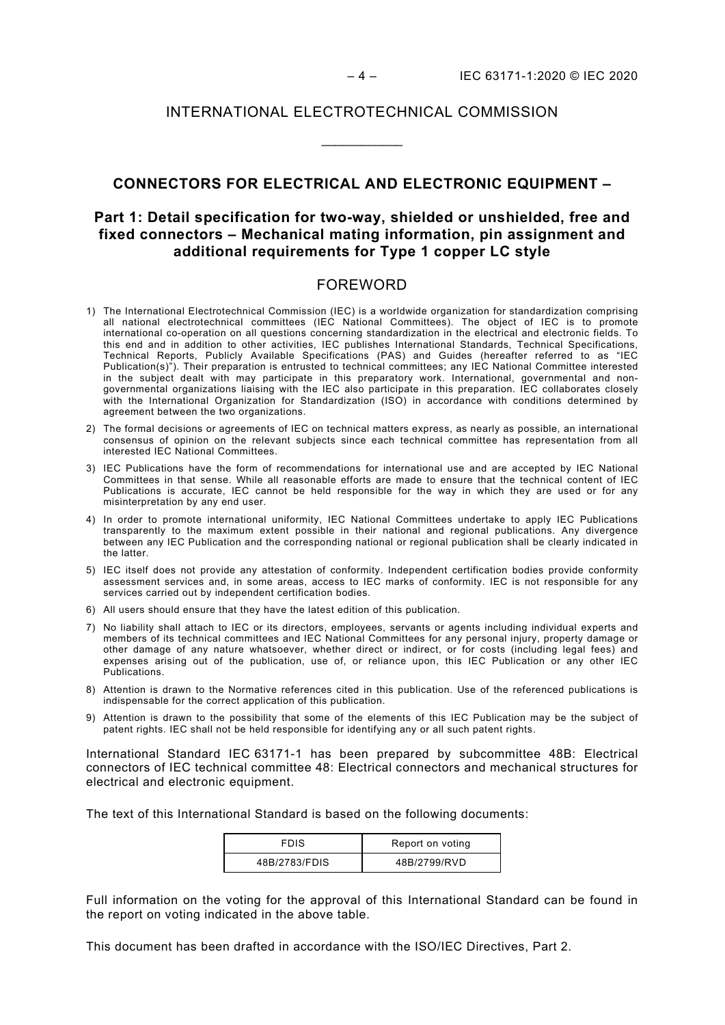#### INTERNATIONAL ELECTROTECHNICAL COMMISSION

\_\_\_\_\_\_\_\_\_\_\_\_

# **CONNECTORS FOR ELECTRICAL AND ELECTRONIC EQUIPMENT –**

## **Part 1: Detail specification for two-way, shielded or unshielded, free and fixed connectors – Mechanical mating information, pin assignment and additional requirements for Type 1 copper LC style**

#### FOREWORD

- <span id="page-3-0"></span>1) The International Electrotechnical Commission (IEC) is a worldwide organization for standardization comprising all national electrotechnical committees (IEC National Committees). The object of IEC is to promote international co-operation on all questions concerning standardization in the electrical and electronic fields. To this end and in addition to other activities, IEC publishes International Standards, Technical Specifications, Technical Reports, Publicly Available Specifications (PAS) and Guides (hereafter referred to as "IEC Publication(s)"). Their preparation is entrusted to technical committees; any IEC National Committee interested in the subject dealt with may participate in this preparatory work. International, governmental and nongovernmental organizations liaising with the IEC also participate in this preparation. IEC collaborates closely with the International Organization for Standardization (ISO) in accordance with conditions determined by agreement between the two organizations.
- 2) The formal decisions or agreements of IEC on technical matters express, as nearly as possible, an international consensus of opinion on the relevant subjects since each technical committee has representation from all interested IEC National Committees.
- 3) IEC Publications have the form of recommendations for international use and are accepted by IEC National Committees in that sense. While all reasonable efforts are made to ensure that the technical content of IEC Publications is accurate, IEC cannot be held responsible for the way in which they are used or for any misinterpretation by any end user.
- 4) In order to promote international uniformity, IEC National Committees undertake to apply IEC Publications transparently to the maximum extent possible in their national and regional publications. Any divergence between any IEC Publication and the corresponding national or regional publication shall be clearly indicated in the latter.
- 5) IEC itself does not provide any attestation of conformity. Independent certification bodies provide conformity assessment services and, in some areas, access to IEC marks of conformity. IEC is not responsible for any services carried out by independent certification bodies.
- 6) All users should ensure that they have the latest edition of this publication.
- 7) No liability shall attach to IEC or its directors, employees, servants or agents including individual experts and members of its technical committees and IEC National Committees for any personal injury, property damage or other damage of any nature whatsoever, whether direct or indirect, or for costs (including legal fees) and expenses arising out of the publication, use of, or reliance upon, this IEC Publication or any other IEC Publications.
- 8) Attention is drawn to the Normative references cited in this publication. Use of the referenced publications is indispensable for the correct application of this publication.
- 9) Attention is drawn to the possibility that some of the elements of this IEC Publication may be the subject of patent rights. IEC shall not be held responsible for identifying any or all such patent rights.

International Standard IEC 63171-1 has been prepared by subcommittee 48B: Electrical connectors of IEC technical committee 48: Electrical connectors and mechanical structures for electrical and electronic equipment.

The text of this International Standard is based on the following documents:

| <b>FDIS</b>   | Report on voting |
|---------------|------------------|
| 48B/2783/FDIS | 48B/2799/RVD     |

Full information on the voting for the approval of this International Standard can be found in the report on voting indicated in the above table.

This document has been drafted in accordance with the ISO/IEC Directives, Part 2.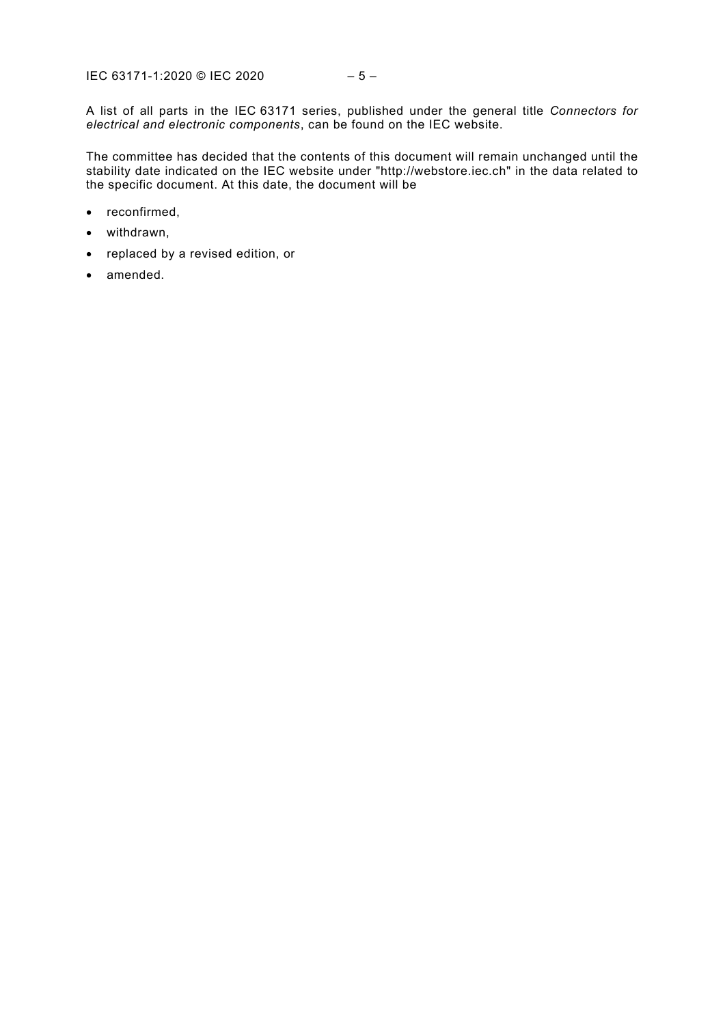A list of all parts in the IEC 63171 series, published under the general title *Connectors for electrical and electronic components*, can be found on the IEC website.

The committee has decided that the contents of this document will remain unchanged until the stability date indicated on the IEC website under "http://webstore.iec.ch" in the data related to the specific document. At this date, the document will be

- reconfirmed,
- withdrawn,
- replaced by a revised edition, or
- amended.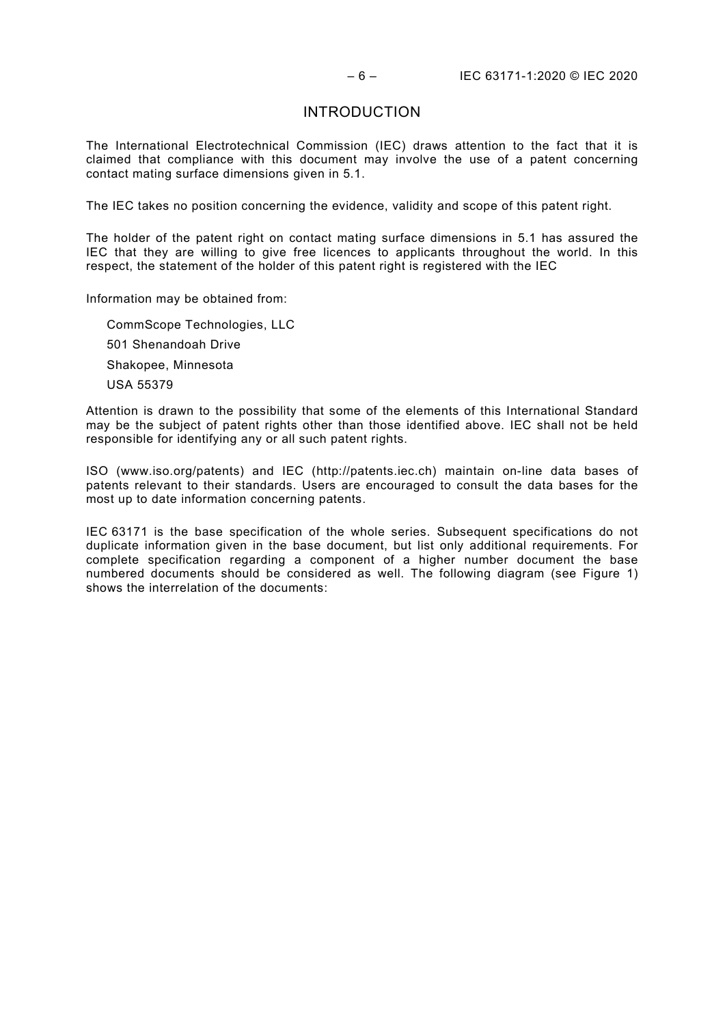#### INTRODUCTION

<span id="page-5-0"></span>The International Electrotechnical Commission (IEC) draws attention to the fact that it is claimed that compliance with this document may involve the use of a patent concerning contact mating surface dimensions given in 5.1.

The IEC takes no position concerning the evidence, validity and scope of this patent right.

The holder of the patent right on contact mating surface dimensions in 5.1 has assured the IEC that they are willing to give free licences to applicants throughout the world. In this respect, the statement of the holder of this patent right is registered with the IEC

Information may be obtained from:

CommScope Technologies, LLC

501 Shenandoah Drive

Shakopee, Minnesota

USA 55379

Attention is drawn to the possibility that some of the elements of this International Standard may be the subject of patent rights other than those identified above. IEC shall not be held responsible for identifying any or all such patent rights.

ISO [\(www.iso.org/patents\)](http://www.iso.org/patents) and IEC (http://patents.iec.ch) maintain on-line data bases of patents relevant to their standards. Users are encouraged to consult the data bases for the most up to date information concerning patents.

IEC 63171 is the base specification of the whole series. Subsequent specifications do not duplicate information given in the base document, but list only additional requirements. For complete specification regarding a component of a higher number document the base numbered documents should be considered as well. The following diagram (see [Figure 1\)](#page-6-0) shows the interrelation of the documents: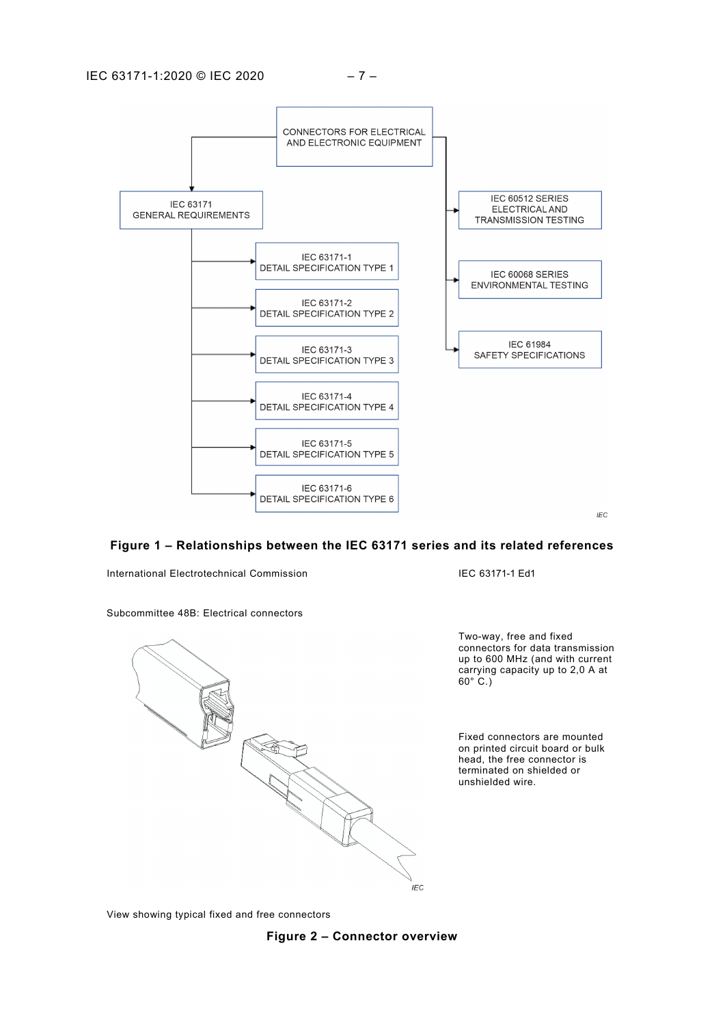



#### <span id="page-6-0"></span>**Figure 1 – Relationships between the IEC 63171 series and its related references**

International Electrotechnical Commission **IEC 63171-1 Ed1** 

Subcommittee 48B: Electrical connectors



Two-way, free and fixed connectors for data transmission up to 600 MHz (and with current carrying capacity up to 2,0 A at 60° C.)

Fixed connectors are mounted on printed circuit board or bulk head, the free connector is terminated on shielded or unshielded wire.

<span id="page-6-1"></span>View showing typical fixed and free connectors

**Figure 2 – Connector overview**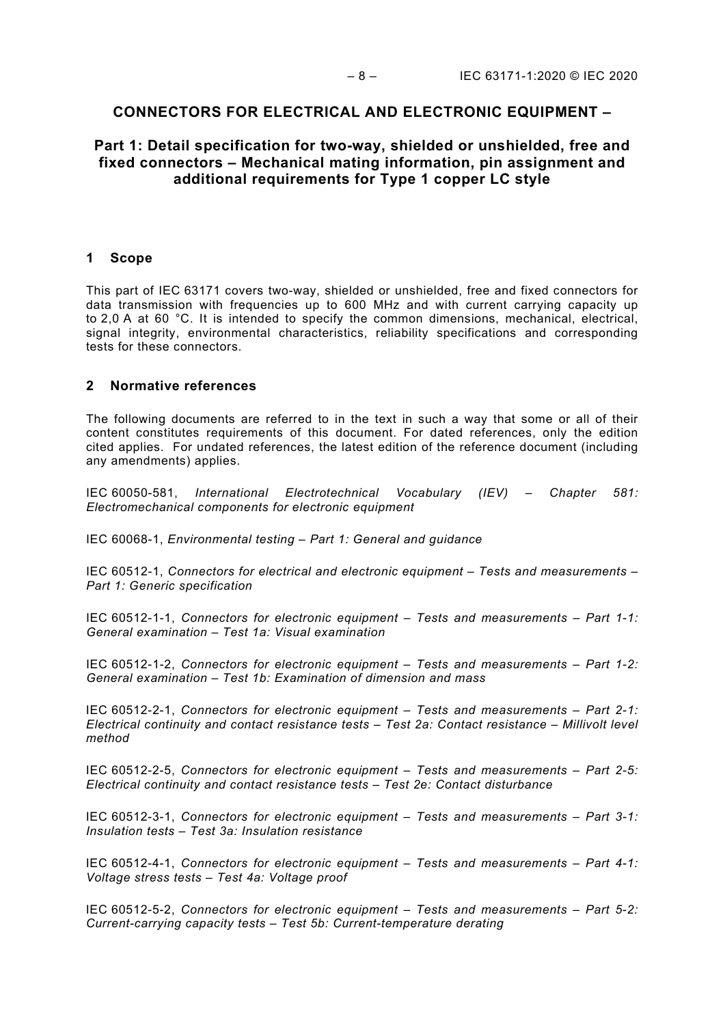## **CONNECTORS FOR ELECTRICAL AND ELECTRONIC EQUIPMENT –**

# **Part 1: Detail specification for two-way, shielded or unshielded, free and fixed connectors – Mechanical mating information, pin assignment and additional requirements for Type 1 copper LC style**

#### <span id="page-7-0"></span>**1 Scope**

This part of IEC 63171 covers two-way, shielded or unshielded, free and fixed connectors for data transmission with frequencies up to 600 MHz and with current carrying capacity up to 2,0 A at 60 °C. It is intended to specify the common dimensions, mechanical, electrical, signal integrity, environmental characteristics, reliability specifications and corresponding tests for these connectors.

#### <span id="page-7-1"></span>**2 Normative references**

The following documents are referred to in the text in such a way that some or all of their content constitutes requirements of this document. For dated references, only the edition cited applies. For undated references, the latest edition of the reference document (including any amendments) applies.

IEC 60050-581, *International Electrotechnical Vocabulary (IEV) – Chapter 581: Electromechanical components for electronic equipment*

IEC 60068-1, *Environmental testing – Part 1: General and guidance*

IEC 60512-1, *Connectors for electrical and electronic equipment – Tests and measurements – Part 1: Generic specification*

IEC 60512-1-1, *Connectors for electronic equipment – Tests and measurements – Part 1-1: General examination – Test 1a: Visual examination*

IEC 60512-1-2, *Connectors for electronic equipment – Tests and measurements – Part 1-2: General examination – Test 1b: Examination of dimension and mass* 

IEC 60512-2-1, *Connectors for electronic equipment – Tests and measurements – Part 2-1: Electrical continuity and contact resistance tests – Test 2a: Contact resistance – Millivolt level method*

IEC 60512-2-5, *Connectors for electronic equipment – Tests and measurements – Part 2-5: Electrical continuity and contact resistance tests – Test 2e: Contact disturbance*

IEC 60512-3-1, *Connectors for electronic equipment – Tests and measurements – Part 3-1: Insulation tests – Test 3a: Insulation resistance*

IEC 60512-4-1, *Connectors for electronic equipment – Tests and measurements – Part 4-1: Voltage stress tests – Test 4a: Voltage proof*

IEC 60512-5-2, *Connectors for electronic equipment – Tests and measurements – Part 5-2: Current-carrying capacity tests – Test 5b: Current-temperature derating*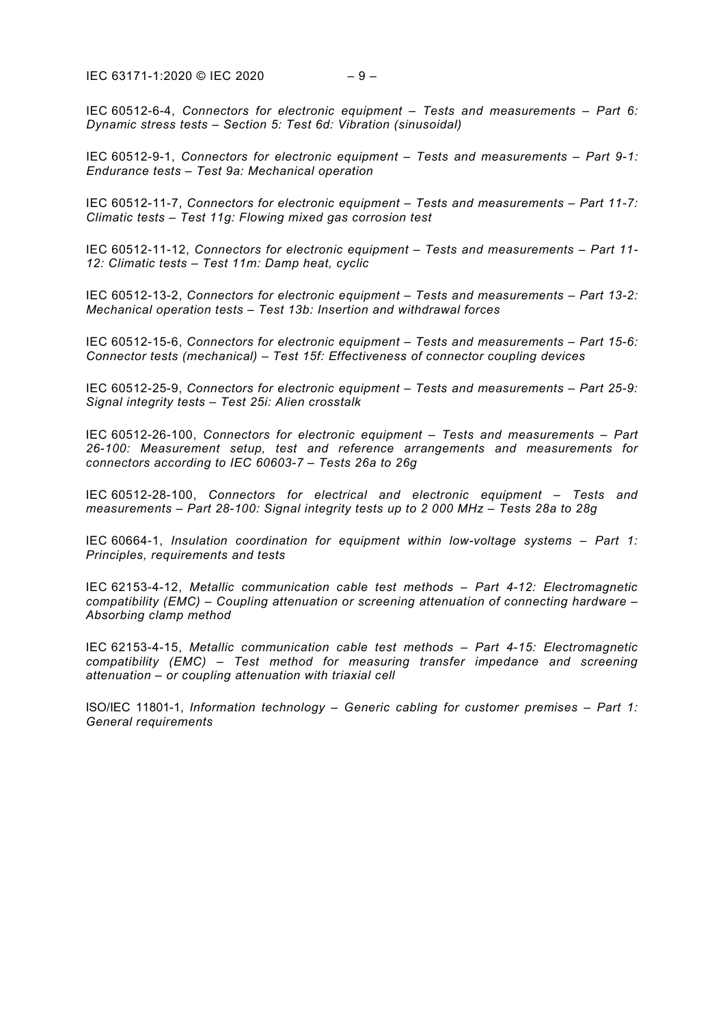IEC 63171-1:2020 © IEC 2020  $-9-$ 

IEC 60512-6-4, *Connectors for electronic equipment – Tests and measurements – Part 6: Dynamic stress tests – Section 5: Test 6d: Vibration (sinusoidal)*

IEC 60512-9-1, *Connectors for electronic equipment – Tests and measurements – Part 9-1: Endurance tests – Test 9a: Mechanical operation*

IEC 60512-11-7, *Connectors for electronic equipment – Tests and measurements – Part 11-7: Climatic tests – Test 11g: Flowing mixed gas corrosion test*

IEC 60512-11-12, *Connectors for electronic equipment – Tests and measurements – Part 11- 12: Climatic tests – Test 11m: Damp heat, cyclic*

IEC 60512-13-2, *Connectors for electronic equipment – Tests and measurements – Part 13-2: Mechanical operation tests – Test 13b: Insertion and withdrawal forces*

IEC 60512-15-6, *Connectors for electronic equipment – Tests and measurements – Part 15-6: Connector tests (mechanical) – Test 15f: Effectiveness of connector coupling devices* 

IEC 60512-25-9, *[Connectors for electronic equipment – Tests and measurements – Part 25-9:](https://ewb.ihs.com/#/document/BMWAHCAAAAAAAAAA?qid=636773052860876032&sr=re-1-20&kbid=4%7C20027&docid=941446506)  [Signal integrity tests – Test 25i: Alien crosstalk](https://ewb.ihs.com/#/document/BMWAHCAAAAAAAAAA?qid=636773052860876032&sr=re-1-20&kbid=4%7C20027&docid=941446506)*

IEC 60512-26-100, *Connectors for electronic equipment – Tests and measurements – Part 26-100: Measurement setup, test and reference arrangements and measurements for connectors according to IEC 60603-7 – Tests 26a to 26g*

IEC 60512-28-100, *Connectors for electrical and electronic equipment – Tests and measurements – Part 28-100: Signal integrity tests up to 2 000 MHz – Tests 28a to 28g*

IEC 60664-1, *Insulation coordination for equipment within low-voltage systems – Part 1: Principles, requirements and tests*

IEC 62153-4-12, *Metallic communication cable test methods – Part 4-12: Electromagnetic compatibility (EMC) – Coupling attenuation or screening attenuation of connecting hardware – Absorbing clamp method*

IEC 62153-4-15, *Metallic communication cable test methods – Part 4-15: Electromagnetic compatibility (EMC) – Test method for measuring transfer impedance and screening attenuation – or coupling attenuation with triaxial cell*

<span id="page-8-0"></span>ISO/IEC 11801-1, *Information technology – Generic cabling for customer premises – Part 1: General requirements*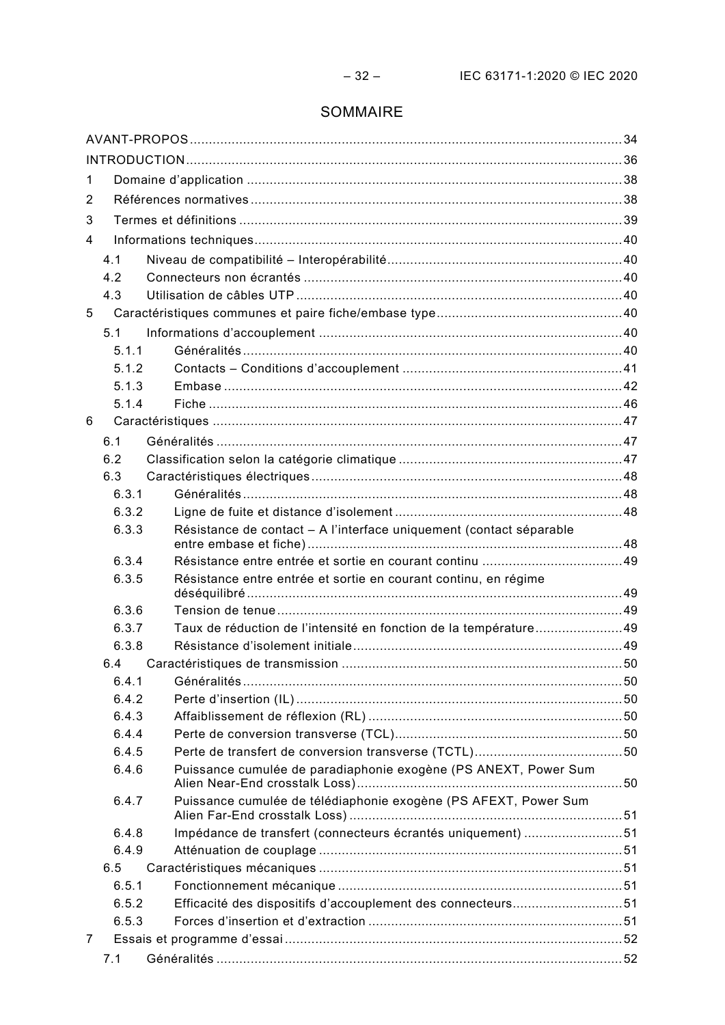# SOMMAIRE

| 1. |       |                                                                     |  |
|----|-------|---------------------------------------------------------------------|--|
| 2  |       |                                                                     |  |
| 3  |       |                                                                     |  |
| 4  |       |                                                                     |  |
|    | 4.1   |                                                                     |  |
|    | 4.2   |                                                                     |  |
|    | 4.3   |                                                                     |  |
| 5  |       |                                                                     |  |
|    | 5.1   |                                                                     |  |
|    | 5.1.1 |                                                                     |  |
|    | 5.1.2 |                                                                     |  |
|    | 5.1.3 |                                                                     |  |
|    | 5.1.4 |                                                                     |  |
| 6  |       |                                                                     |  |
|    | 6.1   |                                                                     |  |
|    | 6.2   |                                                                     |  |
|    | 6.3   |                                                                     |  |
|    | 6.3.1 |                                                                     |  |
|    | 6.3.2 |                                                                     |  |
|    | 6.3.3 | Résistance de contact - A l'interface uniquement (contact séparable |  |
|    | 6.3.4 |                                                                     |  |
|    | 6.3.5 |                                                                     |  |
|    |       | Résistance entre entrée et sortie en courant continu, en régime     |  |
|    | 6.3.6 |                                                                     |  |
|    | 6.3.7 | Taux de réduction de l'intensité en fonction de la température49    |  |
|    | 6.3.8 |                                                                     |  |
|    | 6.4   |                                                                     |  |
|    | 6.4.1 |                                                                     |  |
|    | 6.4.2 |                                                                     |  |
|    | 6.4.3 |                                                                     |  |
|    | 6.4.4 |                                                                     |  |
|    | 6.4.5 |                                                                     |  |
|    | 6.4.6 | Puissance cumulée de paradiaphonie exogène (PS ANEXT, Power Sum     |  |
|    | 6.4.7 | Puissance cumulée de télédiaphonie exogène (PS AFEXT, Power Sum     |  |
|    | 6.4.8 | Impédance de transfert (connecteurs écrantés uniquement) 51         |  |
|    | 6.4.9 |                                                                     |  |
|    | 6.5   |                                                                     |  |
|    | 6.5.1 |                                                                     |  |
|    | 6.5.2 | Efficacité des dispositifs d'accouplement des connecteurs51         |  |
|    | 6.5.3 |                                                                     |  |
| 7  |       |                                                                     |  |
|    | 7.1   |                                                                     |  |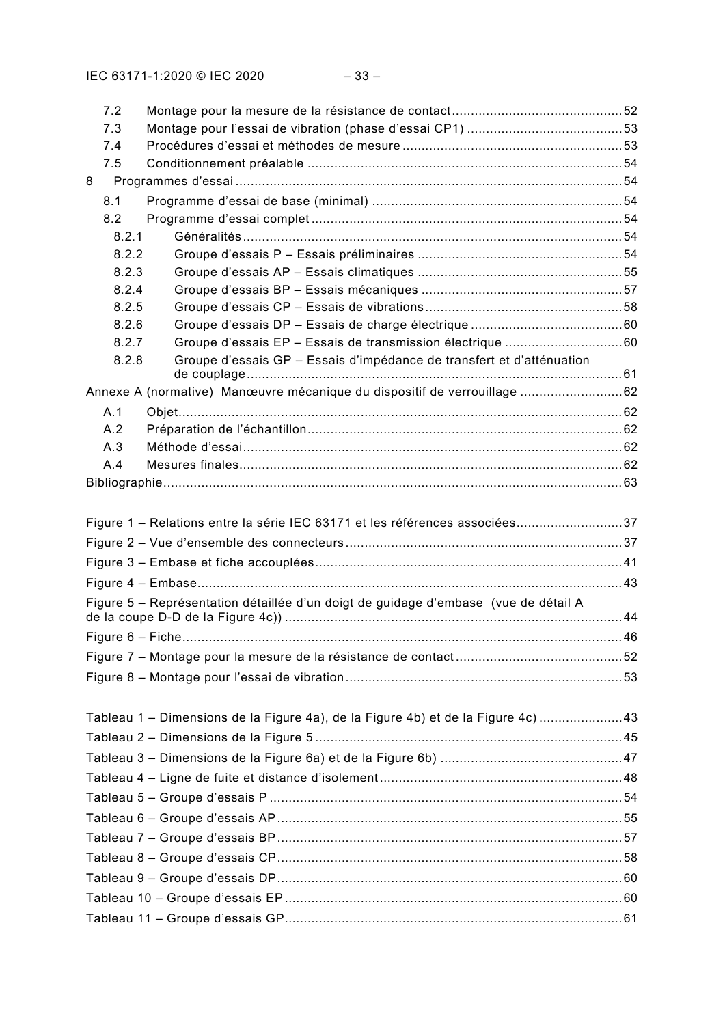|   | 7.2            |                                                                                     |  |
|---|----------------|-------------------------------------------------------------------------------------|--|
|   | 7.3            |                                                                                     |  |
|   | 7.4            |                                                                                     |  |
|   | 7.5            |                                                                                     |  |
| 8 |                |                                                                                     |  |
|   | 8.1            |                                                                                     |  |
|   | 8.2            |                                                                                     |  |
|   | 8.2.1          |                                                                                     |  |
|   | 8.2.2          |                                                                                     |  |
|   | 8.2.3          |                                                                                     |  |
|   | 8.2.4          |                                                                                     |  |
|   | 8.2.5          |                                                                                     |  |
|   | 8.2.6          |                                                                                     |  |
|   | 8.2.7<br>8.2.8 | Groupe d'essais GP - Essais d'impédance de transfert et d'atténuation               |  |
|   |                |                                                                                     |  |
|   |                | Annexe A (normative) Manœuvre mécanique du dispositif de verrouillage 62            |  |
|   | A.1            |                                                                                     |  |
|   | A.2            |                                                                                     |  |
|   | A.3            |                                                                                     |  |
|   | A.4            |                                                                                     |  |
|   |                |                                                                                     |  |
|   |                |                                                                                     |  |
|   |                | Figure 1 - Relations entre la série IEC 63171 et les références associées37         |  |
|   |                |                                                                                     |  |
|   |                |                                                                                     |  |
|   |                |                                                                                     |  |
|   |                | Figure 5 - Représentation détaillée d'un doigt de guidage d'embase (vue de détail A |  |
|   |                |                                                                                     |  |
|   |                |                                                                                     |  |
|   |                |                                                                                     |  |
|   |                |                                                                                     |  |
|   |                | Tableau 1 – Dimensions de la Figure 4a), de la Figure 4b) et de la Figure 4c) 43    |  |
|   |                |                                                                                     |  |
|   |                |                                                                                     |  |
|   |                |                                                                                     |  |
|   |                |                                                                                     |  |
|   |                |                                                                                     |  |
|   |                |                                                                                     |  |
|   |                |                                                                                     |  |
|   |                |                                                                                     |  |
|   |                |                                                                                     |  |
|   |                |                                                                                     |  |
|   |                |                                                                                     |  |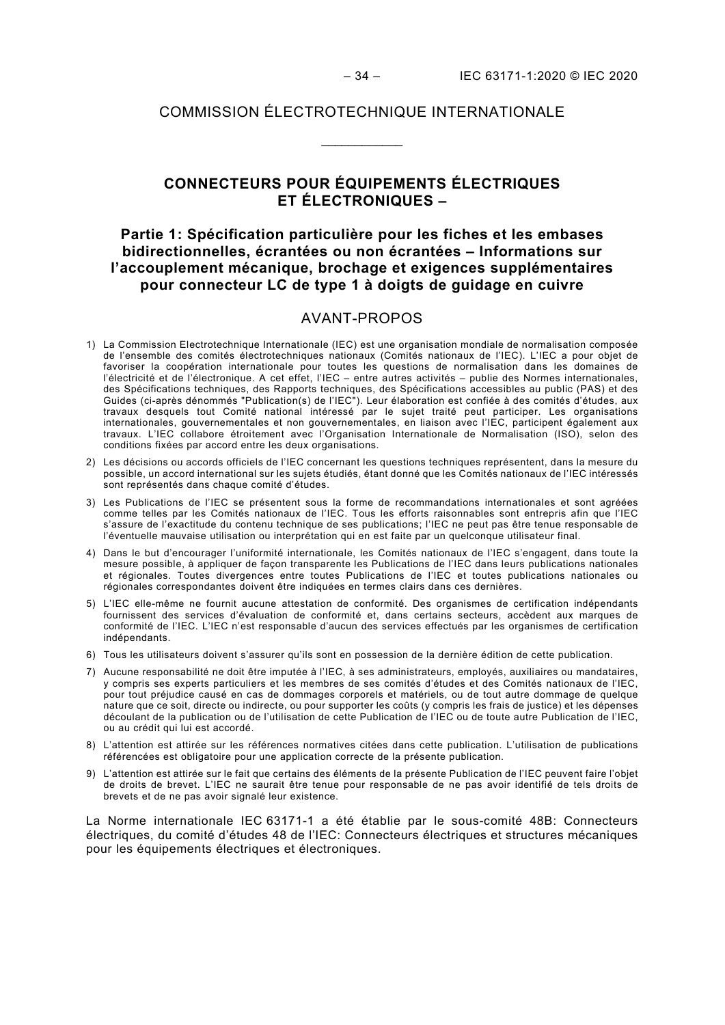### COMMISSION ÉLECTROTECHNIQUE INTERNATIONALE

\_\_\_\_\_\_\_\_\_\_\_\_

# **CONNECTEURS POUR ÉQUIPEMENTS ÉLECTRIQUES ET ÉLECTRONIQUES –**

# **Partie 1: Spécification particulière pour les fiches et les embases bidirectionnelles, écrantées ou non écrantées – Informations sur l'accouplement mécanique, brochage et exigences supplémentaires pour connecteur LC de type 1 à doigts de guidage en cuivre**

## AVANT-PROPOS

- <span id="page-11-0"></span>1) La Commission Electrotechnique Internationale (IEC) est une organisation mondiale de normalisation composée de l'ensemble des comités électrotechniques nationaux (Comités nationaux de l'IEC). L'IEC a pour objet de favoriser la coopération internationale pour toutes les questions de normalisation dans les domaines de l'électricité et de l'électronique. A cet effet, l'IEC – entre autres activités – publie des Normes internationales, des Spécifications techniques, des Rapports techniques, des Spécifications accessibles au public (PAS) et des Guides (ci-après dénommés "Publication(s) de l'IEC"). Leur élaboration est confiée à des comités d'études, aux travaux desquels tout Comité national intéressé par le sujet traité peut participer. Les organisations internationales, gouvernementales et non gouvernementales, en liaison avec l'IEC, participent également aux travaux. L'IEC collabore étroitement avec l'Organisation Internationale de Normalisation (ISO), selon des conditions fixées par accord entre les deux organisations.
- 2) Les décisions ou accords officiels de l'IEC concernant les questions techniques représentent, dans la mesure du possible, un accord international sur les sujets étudiés, étant donné que les Comités nationaux de l'IEC intéressés sont représentés dans chaque comité d'études.
- 3) Les Publications de l'IEC se présentent sous la forme de recommandations internationales et sont agréées comme telles par les Comités nationaux de l'IEC. Tous les efforts raisonnables sont entrepris afin que l'IEC s'assure de l'exactitude du contenu technique de ses publications; l'IEC ne peut pas être tenue responsable de l'éventuelle mauvaise utilisation ou interprétation qui en est faite par un quelconque utilisateur final.
- 4) Dans le but d'encourager l'uniformité internationale, les Comités nationaux de l'IEC s'engagent, dans toute la mesure possible, à appliquer de façon transparente les Publications de l'IEC dans leurs publications nationales et régionales. Toutes divergences entre toutes Publications de l'IEC et toutes publications nationales ou régionales correspondantes doivent être indiquées en termes clairs dans ces dernières.
- 5) L'IEC elle-même ne fournit aucune attestation de conformité. Des organismes de certification indépendants fournissent des services d'évaluation de conformité et, dans certains secteurs, accèdent aux marques de conformité de l'IEC. L'IEC n'est responsable d'aucun des services effectués par les organismes de certification indépendants.
- 6) Tous les utilisateurs doivent s'assurer qu'ils sont en possession de la dernière édition de cette publication.
- 7) Aucune responsabilité ne doit être imputée à l'IEC, à ses administrateurs, employés, auxiliaires ou mandataires, y compris ses experts particuliers et les membres de ses comités d'études et des Comités nationaux de l'IEC, pour tout préjudice causé en cas de dommages corporels et matériels, ou de tout autre dommage de quelque nature que ce soit, directe ou indirecte, ou pour supporter les coûts (y compris les frais de justice) et les dépenses découlant de la publication ou de l'utilisation de cette Publication de l'IEC ou de toute autre Publication de l'IEC, ou au crédit qui lui est accordé.
- 8) L'attention est attirée sur les références normatives citées dans cette publication. L'utilisation de publications référencées est obligatoire pour une application correcte de la présente publication.
- 9) L'attention est attirée sur le fait que certains des éléments de la présente Publication de l'IEC peuvent faire l'objet de droits de brevet. L'IEC ne saurait être tenue pour responsable de ne pas avoir identifié de tels droits de brevets et de ne pas avoir signalé leur existence.

La Norme internationale IEC 63171-1 a été établie par le sous-comité 48B: Connecteurs électriques, du comité d'études 48 de l'IEC: Connecteurs électriques et structures mécaniques pour les équipements électriques et électroniques.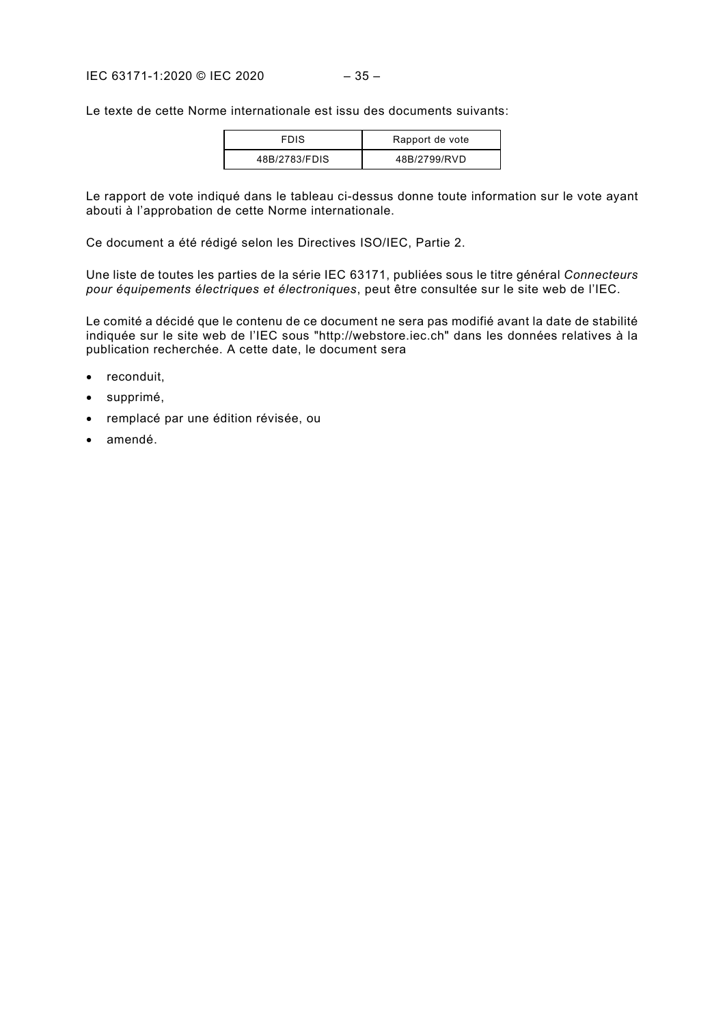Le texte de cette Norme internationale est issu des documents suivants:

| <b>FDIS</b>   | Rapport de vote |
|---------------|-----------------|
| 48B/2783/FDIS | 48B/2799/RVD    |

Le rapport de vote indiqué dans le tableau ci-dessus donne toute information sur le vote ayant abouti à l'approbation de cette Norme internationale.

Ce document a été rédigé selon les Directives ISO/IEC, Partie 2.

Une liste de toutes les parties de la série IEC 63171, publiées sous le titre général *Connecteurs pour équipements électriques et électroniques*, peut être consultée sur le site web de l'IEC.

Le comité a décidé que le contenu de ce document ne sera pas modifié avant la date de stabilité indiquée sur le site web de l'IEC sous "http://webstore.iec.ch" dans les données relatives à la publication recherchée. A cette date, le document sera

- reconduit,
- supprimé,
- remplacé par une édition révisée, ou
- amendé.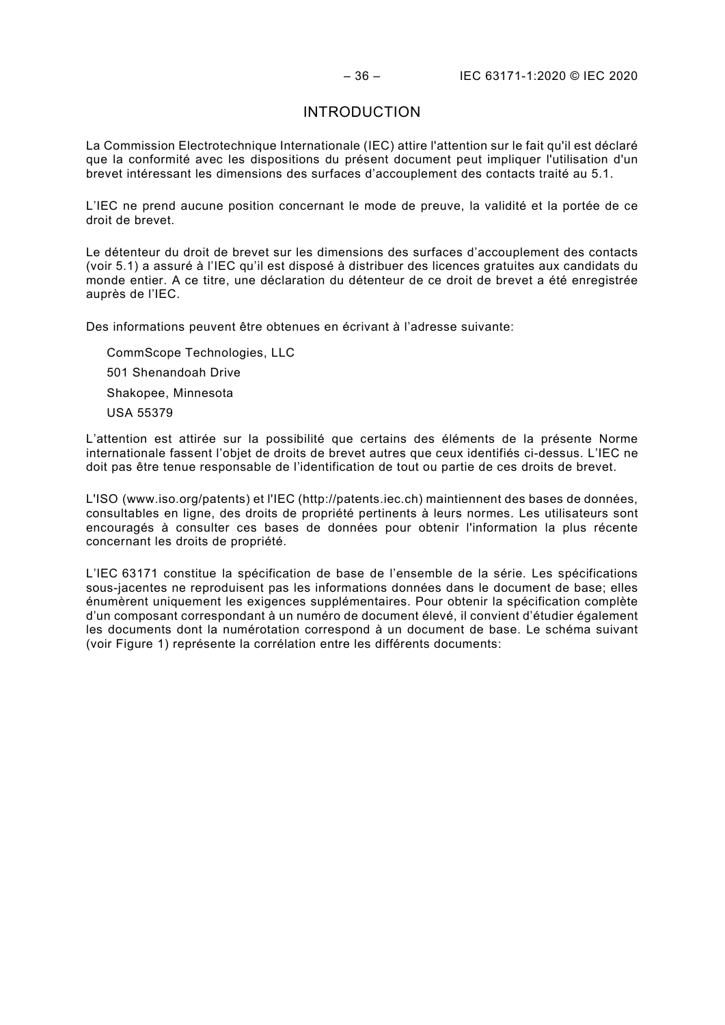#### INTRODUCTION

<span id="page-13-0"></span>La Commission Electrotechnique Internationale (IEC) attire l'attention sur le fait qu'il est déclaré que la conformité avec les dispositions du présent document peut impliquer l'utilisation d'un brevet intéressant les dimensions des surfaces d'accouplement des contacts traité au 5.1.

L'IEC ne prend aucune position concernant le mode de preuve, la validité et la portée de ce droit de brevet.

Le détenteur du droit de brevet sur les dimensions des surfaces d'accouplement des contacts (voir 5.1) a assuré à l'IEC qu'il est disposé à distribuer des licences gratuites aux candidats du monde entier. A ce titre, une déclaration du détenteur de ce droit de brevet a été enregistrée auprès de l'IEC.

Des informations peuvent être obtenues en écrivant à l'adresse suivante:

CommScope Technologies, LLC 501 Shenandoah Drive Shakopee, Minnesota USA 55379

L'attention est attirée sur la possibilité que certains des éléments de la présente Norme internationale fassent l'objet de droits de brevet autres que ceux identifiés ci-dessus. L'IEC ne doit pas être tenue responsable de l'identification de tout ou partie de ces droits de brevet.

L'ISO [\(www.iso.org/patents\)](http://www.iso.org/patents) et l'IEC (http://patents.iec.ch) maintiennent des bases de données, consultables en ligne, des droits de propriété pertinents à leurs normes. Les utilisateurs sont encouragés à consulter ces bases de données pour obtenir l'information la plus récente concernant les droits de propriété.

L'IEC 63171 constitue la spécification de base de l'ensemble de la série. Les spécifications sous-jacentes ne reproduisent pas les informations données dans le document de base; elles énumèrent uniquement les exigences supplémentaires. Pour obtenir la spécification complète d'un composant correspondant à un numéro de document élevé, il convient d'étudier également les documents dont la numérotation correspond à un document de base. Le schéma suivant (voir [Figure 1\)](#page-14-0) représente la corrélation entre les différents documents: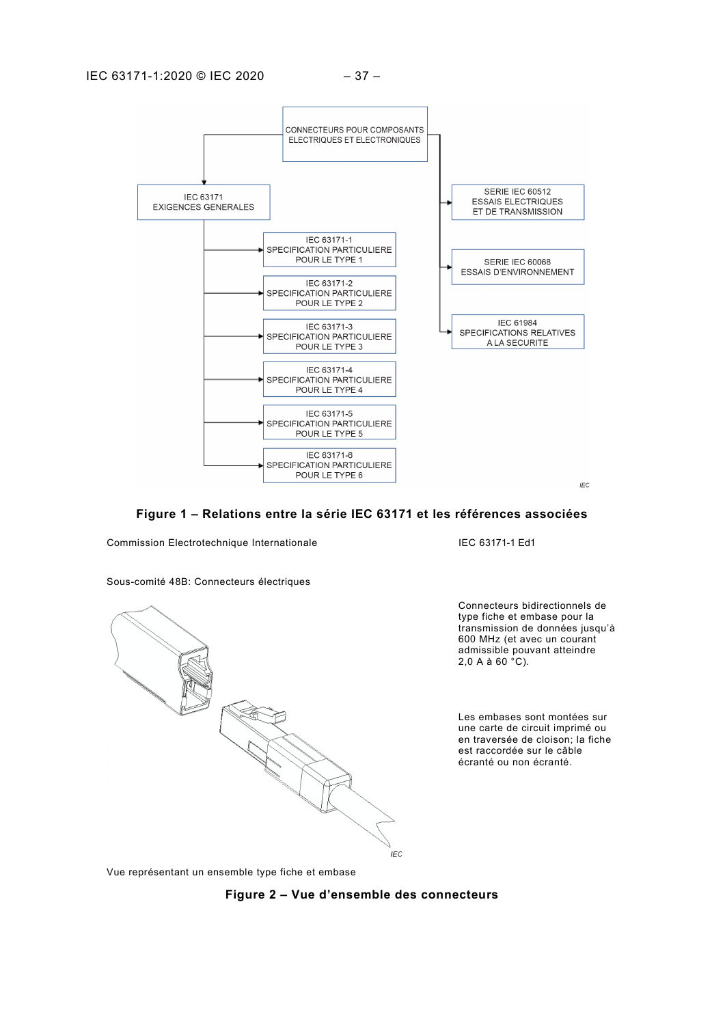



<span id="page-14-0"></span>Commission Electrotechnique Internationale **IEC 63171-1 Ed1** 

2,0 A à 60 °C).

Connecteurs bidirectionnels de type fiche et embase pour la transmission de données jusqu'à 600 MHz (et avec un courant admissible pouvant atteindre

Les embases sont montées sur une carte de circuit imprimé ou en traversée de cloison; la fiche est raccordée sur le câble écranté ou non écranté.





<span id="page-14-1"></span>Vue représentant un ensemble type fiche et embase

**Figure 2 – Vue d'ensemble des connecteurs**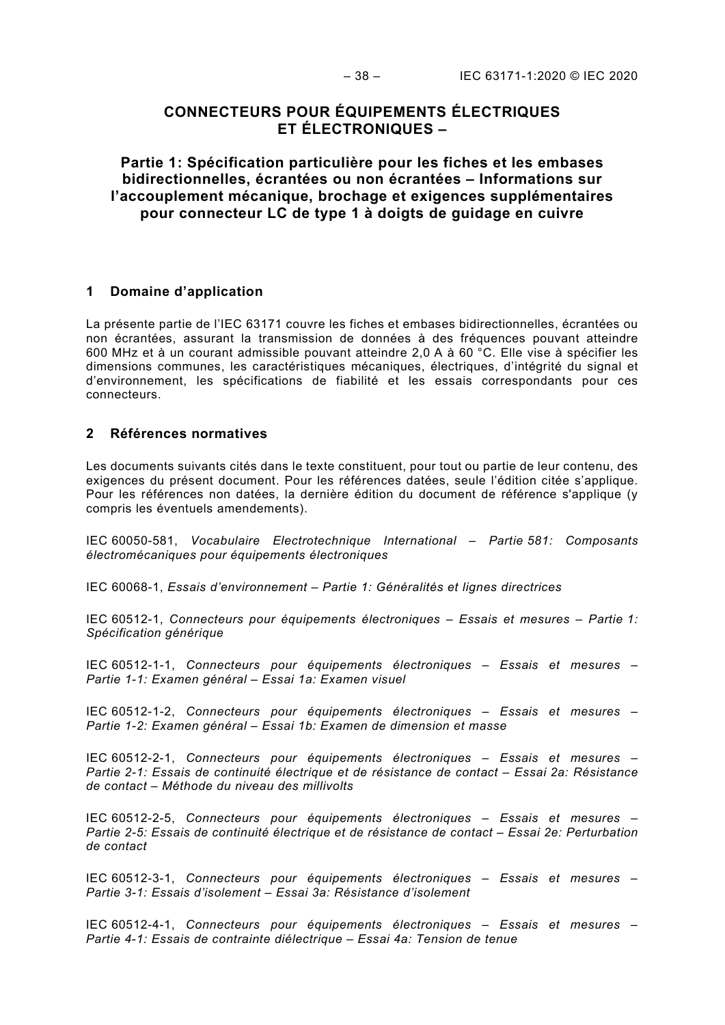## **CONNECTEURS POUR ÉQUIPEMENTS ÉLECTRIQUES ET ÉLECTRONIQUES –**

**Partie 1: Spécification particulière pour les fiches et les embases bidirectionnelles, écrantées ou non écrantées – Informations sur l'accouplement mécanique, brochage et exigences supplémentaires pour connecteur LC de type 1 à doigts de guidage en cuivre**

#### <span id="page-15-0"></span>**1 Domaine d'application**

La présente partie de l'IEC 63171 couvre les fiches et embases bidirectionnelles, écrantées ou non écrantées, assurant la transmission de données à des fréquences pouvant atteindre 600 MHz et à un courant admissible pouvant atteindre 2,0 A à 60 °C. Elle vise à spécifier les dimensions communes, les caractéristiques mécaniques, électriques, d'intégrité du signal et d'environnement, les spécifications de fiabilité et les essais correspondants pour ces connecteurs.

#### <span id="page-15-1"></span>**2 Références normatives**

Les documents suivants cités dans le texte constituent, pour tout ou partie de leur contenu, des exigences du présent document. Pour les références datées, seule l'édition citée s'applique. Pour les références non datées, la dernière édition du document de référence s'applique (y compris les éventuels amendements).

IEC 60050-581, *Vocabulaire Electrotechnique International – Partie 581: Composants électromécaniques pour équipements électroniques*

IEC 60068-1, *Essais d'environnement – Partie 1: Généralités et lignes directrices*

IEC 60512-1, *Connecteurs pour équipements électroniques – Essais et mesures – Partie 1: Spécification générique*

IEC 60512-1-1, *Connecteurs pour équipements électroniques – Essais et mesures – Partie 1-1: Examen général – Essai 1a: Examen visuel*

IEC 60512-1-2, *Connecteurs pour équipements électroniques – Essais et mesures – Partie 1-2: Examen général – Essai 1b: Examen de dimension et masse* 

IEC 60512-2-1, *Connecteurs pour équipements électroniques – Essais et mesures – Partie 2-1: Essais de continuité électrique et de résistance de contact – Essai 2a: Résistance de contact – Méthode du niveau des millivolts*

IEC 60512-2-5, *Connecteurs pour équipements électroniques – Essais et mesures – Partie 2-5: Essais de continuité électrique et de résistance de contact – Essai 2e: Perturbation de contact*

IEC 60512-3-1, *Connecteurs pour équipements électroniques – Essais et mesures – Partie 3-1: Essais d'isolement – Essai 3a: Résistance d'isolement*

IEC 60512-4-1, *Connecteurs pour équipements électroniques – Essais et mesures – Partie 4-1: Essais de contrainte diélectrique – Essai 4a: Tension de tenue*